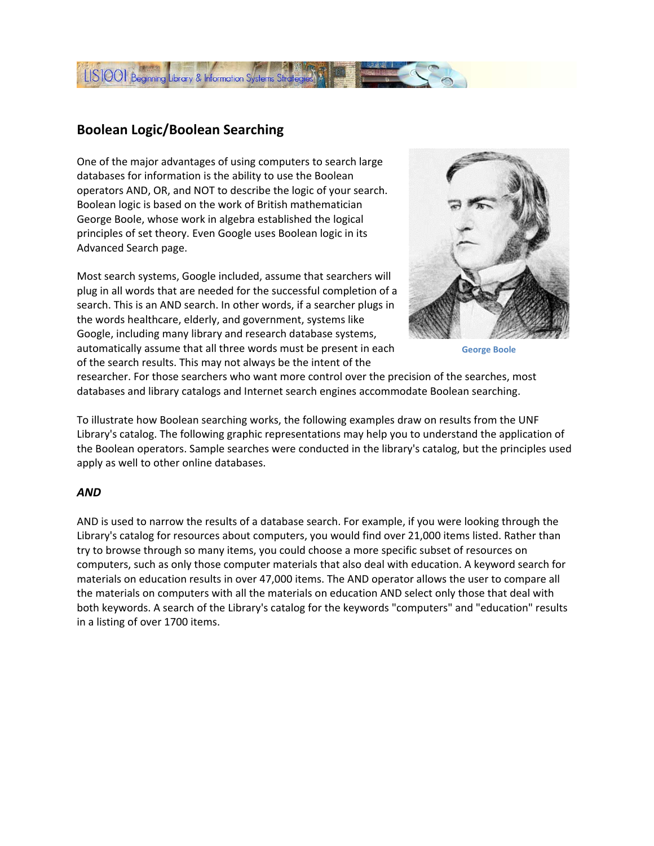

# **Boolean Logic/Boolean Searching**

One of the major advantages of using computers to search large databases for information is the ability to use the Boolean operators AND, OR, and NOT to describe the logic of your search. Boolean logic is based on the work of British mathematician George Boole, whose work in algebra established the logical principles of set theory. Even Google uses Boolean logic in its Advanced Search page.

Most search systems, Google included, assume that searchers will plug in all words that are needed for the successful completion of a search. This is an AND search. In other words, if a searcher plugs in the words healthcare, elderly, and government, systems like Google, including many library and research database systems, automatically assume that all three words must be present in each of the search results. This may not always be the intent of the



**George Boole**

researcher. For those searchers who want more control over the precision of the searches, most databases and library catalogs and Internet search engines accommodate Boolean searching.

To illustrate how Boolean searching works, the following examples draw on results from the UNF Library's catalog. The following graphic representations may help you to understand the application of the Boolean operators. Sample searches were conducted in the library's catalog, but the principles used apply as well to other online databases.

#### *AND*

AND is used to narrow the results of a database search. For example, if you were looking through the Library's catalog for resources about computers, you would find over 21,000 items listed. Rather than try to browse through so many items, you could choose a more specific subset of resources on computers, such as only those computer materials that also deal with education. A keyword search for materials on education results in over 47,000 items. The AND operator allows the user to compare all the materials on computers with all the materials on education AND select only those that deal with both keywords. A search of the Library's catalog for the keywords "computers" and "education" results in a listing of over 1700 items.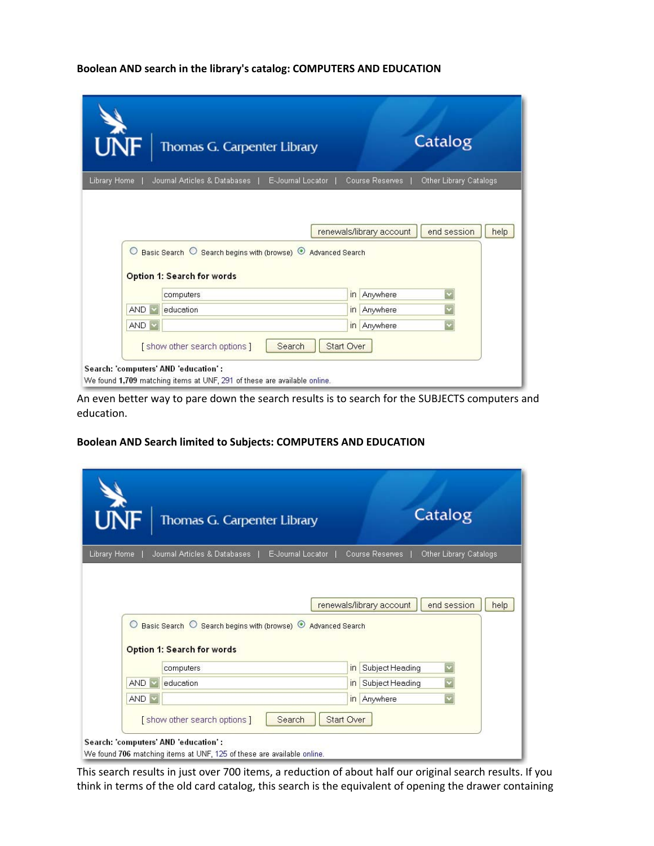#### **Boolean AND search in the library's catalog: COMPUTERS AND EDUCATION**

|              | Thomas G. Carpenter Library                                                       |                        | Catalog                                          |
|--------------|-----------------------------------------------------------------------------------|------------------------|--------------------------------------------------|
| Library Home | E-Journal Locator<br>Journal Articles & Databases                                 |                        | Other Library Catalogs<br><b>Course Reserves</b> |
|              |                                                                                   |                        | end session<br>renewals/library account<br>help  |
| $\circ$      | Basic Search O Search begins with (browse) O<br><b>Option 1: Search for words</b> | <b>Advanced Search</b> |                                                  |
|              | computers                                                                         | $\overline{m}$         | Anywhere                                         |
| <b>AND</b>   | education                                                                         | in                     | Anywhere                                         |
| <b>AND</b>   |                                                                                   |                        | in Anywhere                                      |

An even better way to pare down the search results is to search for the SUBJECTS computers and education.

### **Boolean AND Search limited to Subjects: COMPUTERS AND EDUCATION**

|              | Thomas G. Carpenter Library                                                             |                        | Catalog                                                   |
|--------------|-----------------------------------------------------------------------------------------|------------------------|-----------------------------------------------------------|
| Library Home | Journal Articles & Databases                                                            | E-Journal Locator      | Course Reserves<br>Other Library Catalogs                 |
|              |                                                                                         |                        | end session<br>renewals/library account<br>help           |
|              | O Basic Search O Search begins with (browse) <sup>O</sup><br>Option 1: Search for words | <b>Advanced Search</b> |                                                           |
| <b>AND</b>   | computers<br>education                                                                  | in                     | Subject Heading<br>$\overline{m}$                         |
| AND V        |                                                                                         |                        | Subject Heading<br>$\overline{\mathbf{v}}$<br>in Anywhere |

This search results in just over 700 items, a reduction of about half our original search results. If you think in terms of the old card catalog, this search is the equivalent of opening the drawer containing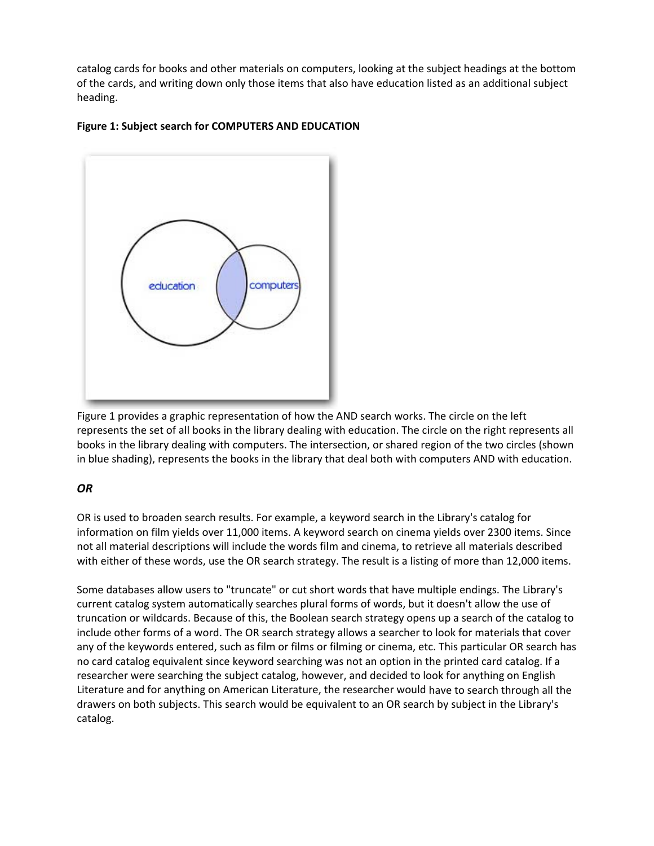catalog cards for books and other materials on computers, looking at the subject headings at the bottom of the cards, and writing down only those items that also have education listed as an additional subject heading.



## **Figure 1: Subject search for COMPUTERS AND EDUCATION**

Figure 1 provides a graphic representation of how the AND search works. The circle on the left represents the set of all books in the library dealing with education. The circle on the right represents all books in the library dealing with computers. The intersection, or shared region of the two circles (shown in blue shading), represents the books in the library that deal both with computers AND with education.

## *OR*

OR is used to broaden search results. For example, a keyword search in the Library's catalog for information on film yields over 11,000 items. A keyword search on cinema yields over 2300 items. Since not all material descriptions will include the words film and cinema, to retrieve all materials described with either of these words, use the OR search strategy. The result is a listing of more than 12,000 items.

Some databases allow users to "truncate" or cut short words that have multiple endings. The Library's current catalog system automatically searches plural forms of words, but it doesn't allow the use of truncation or wildcards. Because of this, the Boolean search strategy opens up a search of the catalog to include other forms of a word. The OR search strategy allows a searcher to look for materials that cover any of the keywords entered, such as film or films or filming or cinema, etc. This particular OR search has no card catalog equivalent since keyword searching was not an option in the printed card catalog. If a researcher were searching the subject catalog, however, and decided to look for anything on English Literature and for anything on American Literature, the researcher would have to search through all the drawers on both subjects. This search would be equivalent to an OR search by subject in the Library's catalog.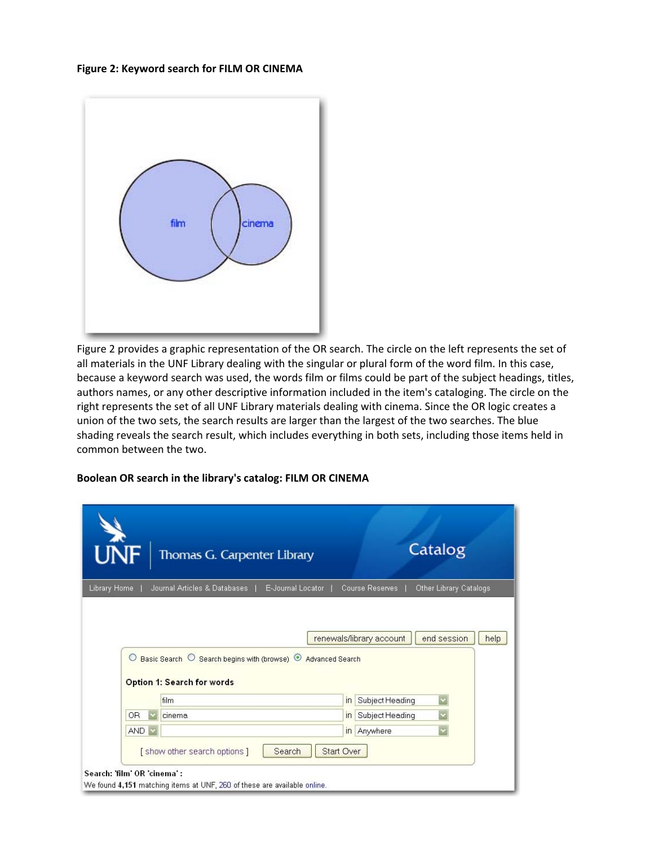**Figure 2: Keyword search for FILM OR CINEMA**



Figure 2 provides a graphic representation of the OR search. The circle on the left represents the set of all materials in the UNF Library dealing with the singular or plural form of the word film. In this case, because a keyword search was used, the words film or films could be part of the subject headings, titles, authors names, or any other descriptive information included in the item's cataloging. The circle on the right represents the set of all UNF Library materials dealing with cinema. Since the OR logic creates a union of the two sets, the search results are larger than the largest of the two searches. The blue shading reveals the search result, which includes everything in both sets, including those items held in common between the two.

#### **Boolean OR search in the library's catalog: FILM OR CINEMA**

|                             | Thomas G. Carpenter Library                                                                                                                                                    | Catalog                                   |  |
|-----------------------------|--------------------------------------------------------------------------------------------------------------------------------------------------------------------------------|-------------------------------------------|--|
| Library Home                | E-Journal Locator<br>Journal Articles & Databases                                                                                                                              | Other Library Catalogs<br>Course Reserves |  |
| $\circ$                     | end session<br>renewals/library account<br>help<br>Basic Search O Search begins with (browse) O Advanced Search<br>Option 1: Search for words<br>Subject Heading<br>film<br>In |                                           |  |
| <b>OR</b>                   | cinema                                                                                                                                                                         | Subject Heading<br>$\overline{m}$         |  |
| <b>AND</b>                  |                                                                                                                                                                                | Anywhere<br> n                            |  |
| Search: 'film' OR 'cinema': | [show other search options]<br>Search                                                                                                                                          | <b>Start Over</b>                         |  |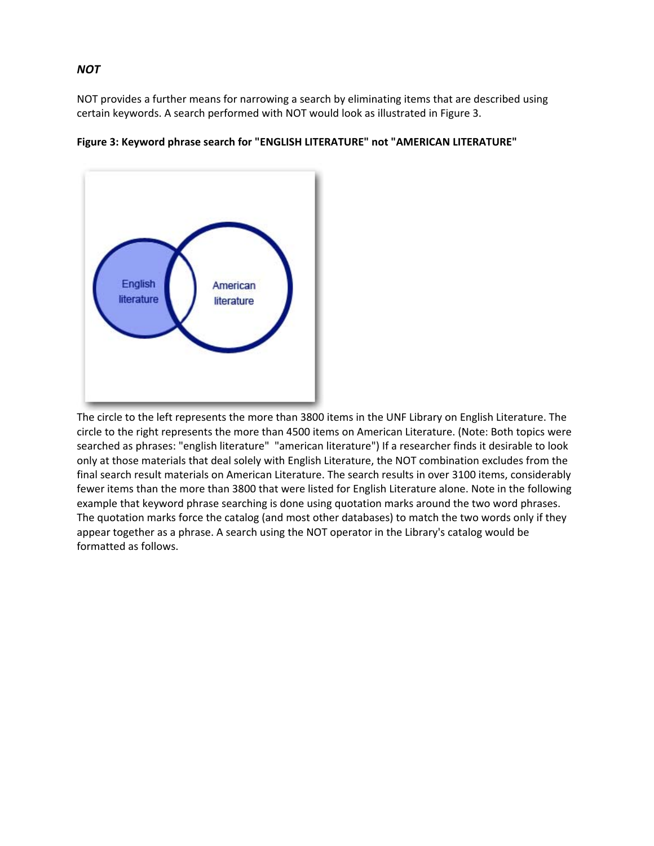NOT provides a further means for narrowing a search by eliminating items that are described using certain keywords. A search performed with NOT would look as illustrated in Figure 3.



### **Figure 3: Keyword phrase search for "ENGLISH LITERATURE" not "AMERICAN LITERATURE"**

The circle to the left represents the more than 3800 items in the UNF Library on English Literature. The circle to the right represents the more than 4500 items on American Literature. (Note: Both topics were searched as phrases: "english literature" "american literature") If a researcher finds it desirable to look only at those materials that deal solely with English Literature, the NOT combination excludes from the final search result materials on American Literature. The search results in over 3100 items, considerably fewer items than the more than 3800 that were listed for English Literature alone. Note in the following example that keyword phrase searching is done using quotation marks around the two word phrases. The quotation marks force the catalog (and most other databases) to match the two words only if they appear together as a phrase. A search using the NOT operator in the Library's catalog would be formatted as follows.

#### *NOT*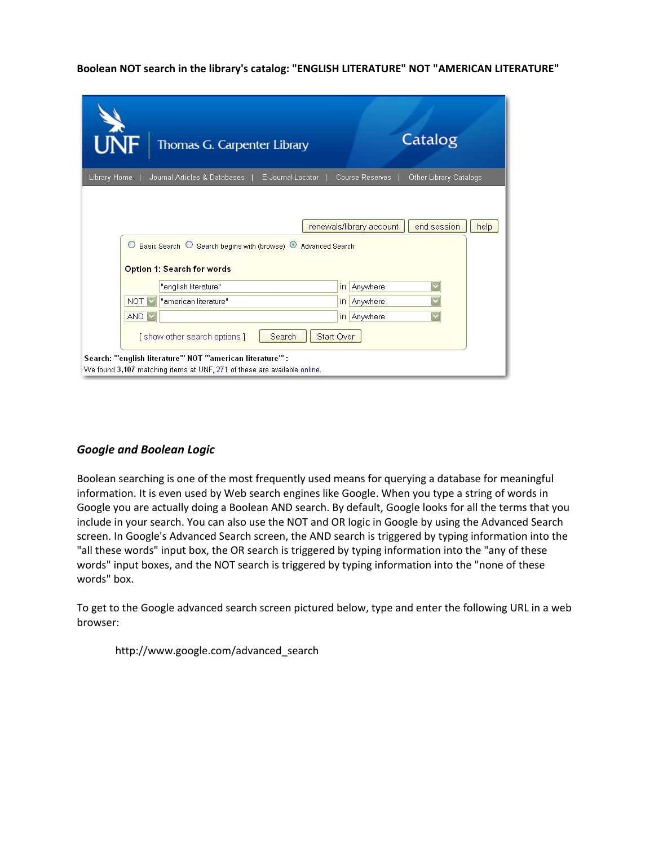#### **Boolean NOT search in the library's catalog: "ENGLISH LITERATURE" NOT "AMERICAN LITERATURE"**

|              | Thomas G. Carpenter Library                                                                                  | Catalog                                          |
|--------------|--------------------------------------------------------------------------------------------------------------|--------------------------------------------------|
| Library Home | Journal Articles & Databases<br>E-Journal Locator                                                            | Other Library Catalogs<br><b>Course Reserves</b> |
|              |                                                                                                              |                                                  |
|              | Basic Search O Search begins with (browse) <sup>O</sup> Advanced Search<br><b>Option 1: Search for words</b> |                                                  |
|              | "english literature"                                                                                         | Anywhere<br>in                                   |
| <b>NOT</b>   | "american literature"                                                                                        | Anywhere<br>$\ln$                                |
| AND V        |                                                                                                              | Anywhere<br>$\ln$                                |
|              | Search<br>[show other search options]                                                                        | <b>Start Over</b>                                |

## *Google and Boolean Logic*

Boolean searching is one of the most frequently used means for querying a database for meaningful information. It is even used by Web search engines like Google. When you type a string of words in Google you are actually doing a Boolean AND search. By default, Google looks for all the terms that you include in your search. You can also use the NOT and OR logic in Google by using the Advanced Search screen. In Google's Advanced Search screen, the AND search is triggered by typing information into the "all these words" input box, the OR search is triggered by typing information into the "any of these words" input boxes, and the NOT search is triggered by typing information into the "none of these words" box.

To get to the Google advanced search screen pictured below, type and enter the following URL in a web browser:

http://www.google.com/advanced\_search